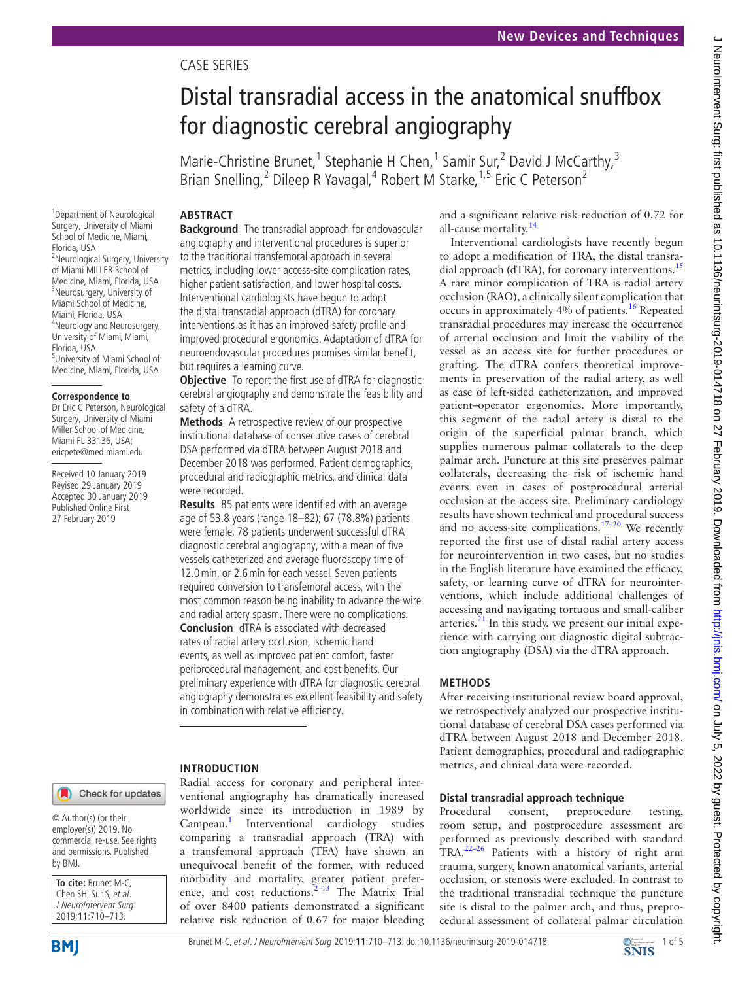# Case series

# Distal transradial access in the anatomical snuffbox for diagnostic cerebral angiography

Marie-Christine Brunet,<sup>1</sup> Stephanie H Chen,<sup>1</sup> Samir Sur,<sup>2</sup> David J McCarthy,<sup>3</sup> Brian Snelling,<sup>2</sup> Dileep R Yavagal,<sup>4</sup> Robert M Starke,<sup>1,5</sup> Eric C Peterson<sup>2</sup>

# **Abstract**

1 Department of Neurological Surgery, University of Miami School of Medicine, Miami, Florida, USA <sup>2</sup> <sup>2</sup>Neurological Surgery, University of Miami MILLER School of Medicine, Miami, Florida, USA <sup>3</sup> <sup>3</sup>Neurosurgery, University of Miami School of Medicine, Miami, Florida, USA <sup>4</sup> Neurology and Neurosurgery, University of Miami, Miami, Florida, USA <sup>5</sup> University of Miami School of Medicine, Miami, Florida, USA

#### **Correspondence to**

Dr Eric C Peterson, Neurological Surgery, University of Miami Miller School of Medicine, Miami FL 33136, USA; ericpete@med.miami.edu

Received 10 January 2019 Revised 29 January 2019 Accepted 30 January 2019 Published Online First 27 February 2019

**Background** The transradial approach for endovascular angiography and interventional procedures is superior to the traditional transfemoral approach in several metrics, including lower access-site complication rates, higher patient satisfaction, and lower hospital costs. Interventional cardiologists have begun to adopt the distal transradial approach (dTRA) for coronary interventions as it has an improved safety profile and improved procedural ergonomics. Adaptation of dTRA for neuroendovascular procedures promises similar benefit, but requires a learning curve.

**Objective** To report the first use of dTRA for diagnostic cerebral angiography and demonstrate the feasibility and safety of a dTRA.

**Methods** A retrospective review of our prospective institutional database of consecutive cases of cerebral DSA performed via dTRA between August 2018 and December 2018 was performed. Patient demographics, procedural and radiographic metrics, and clinical data were recorded.

**Results** 85 patients were identified with an average age of 53.8 years (range 18–82); 67 (78.8%) patients were female. 78 patients underwent successful dTRA diagnostic cerebral angiography, with a mean of five vessels catheterized and average fluoroscopy time of 12.0min, or 2.6min for each vessel. Seven patients required conversion to transfemoral access, with the most common reason being inability to advance the wire and radial artery spasm. There were no complications. **Conclusion** dTRA is associated with decreased rates of radial artery occlusion, ischemic hand events, as well as improved patient comfort, faster periprocedural management, and cost benefits. Our preliminary experience with dTRA for diagnostic cerebral angiography demonstrates excellent feasibility and safety in combination with relative efficiency.

# **Introduction**

Radial access for coronary and peripheral interventional angiography has dramatically increased worldwide since its introduction in 1989 by Campeau.<sup>[1](#page-3-0)</sup> Interventional cardiology studies comparing a transradial approach (TRA) with a transfemoral approach (TFA) have shown an unequivocal benefit of the former, with reduced morbidity and mortality, greater patient preference, and cost reductions. $2-13$  The Matrix Trial of over 8400 patients demonstrated a significant relative risk reduction of 0.67 for major bleeding

and a significant relative risk reduction of 0.72 for all-cause mortality.[14](#page-3-2)

Interventional cardiologists have recently begun to adopt a modification of TRA, the distal transra-dial approach (dTRA), for coronary interventions.<sup>[15](#page-3-3)</sup> A rare minor complication of TRA is radial artery occlusion (RAO), a clinically silent complication that occurs in approximately 4% of patients.<sup>[16](#page-3-4)</sup> Repeated transradial procedures may increase the occurrence of arterial occlusion and limit the viability of the vessel as an access site for further procedures or grafting. The dTRA confers theoretical improvements in preservation of the radial artery, as well as ease of left-sided catheterization, and improved patient–operator ergonomics. More importantly, this segment of the radial artery is distal to the origin of the superficial palmar branch, which supplies numerous palmar collaterals to the deep palmar arch. Puncture at this site preserves palmar collaterals, decreasing the risk of ischemic hand events even in cases of postprocedural arterial occlusion at the access site. Preliminary cardiology results have shown technical and procedural success and no access-site complications.<sup>17-20</sup> We recently reported the first use of distal radial artery access for neurointervention in two cases, but no studies in the English literature have examined the efficacy, safety, or learning curve of dTRA for neurointerventions, which include additional challenges of accessing and navigating tortuous and small-caliber arteries. $^{21}$  $^{21}$  $^{21}$  In this study, we present our initial experience with carrying out diagnostic digital subtraction angiography (DSA) via the dTRA approach.

# **Methods**

After receiving institutional review board approval, we retrospectively analyzed our prospective institutional database of cerebral DSA cases performed via dTRA between August 2018 and December 2018. Patient demographics, procedural and radiographic metrics, and clinical data were recorded.

# **Distal transradial approach technique**

Procedural consent, preprocedure testing, room setup, and postprocedure assessment are performed as previously described with standard TRA.[22–26](#page-3-7) Patients with a history of right arm trauma, surgery, known anatomical variants, arterial occlusion, or stenosis were excluded. In contrast to the traditional transradial technique the puncture site is distal to the palmer arch, and thus, preprocedural assessment of collateral palmar circulation

Check for updates

© Author(s) (or their employer(s)) 2019. No commercial re-use. See rights and permissions. Published by BMJ.

**To cite:** Brunet M-C, Chen SH, Sur S, et al. J NeuroIntervent Surg 2019;**11**:710–713.



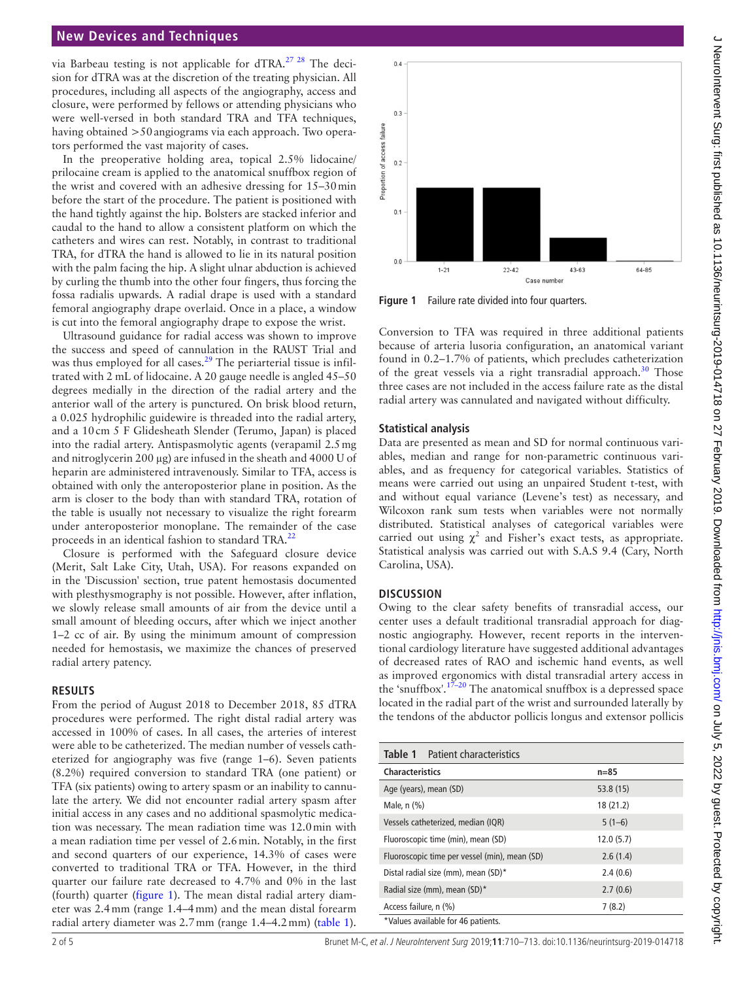# **New Devices and Techniques**

via Barbeau testing is not applicable for  $dTRA$ .<sup>27</sup> <sup>28</sup> The decision for dTRA was at the discretion of the treating physician. All procedures, including all aspects of the angiography, access and closure, were performed by fellows or attending physicians who were well-versed in both standard TRA and TFA techniques, having obtained >50angiograms via each approach. Two operators performed the vast majority of cases.

In the preoperative holding area, topical 2.5% lidocaine/ prilocaine cream is applied to the anatomical snuffbox region of the wrist and covered with an adhesive dressing for 15–30min before the start of the procedure. The patient is positioned with the hand tightly against the hip. Bolsters are stacked inferior and caudal to the hand to allow a consistent platform on which the catheters and wires can rest. Notably, in contrast to traditional TRA, for dTRA the hand is allowed to lie in its natural position with the palm facing the hip. A slight ulnar abduction is achieved by curling the thumb into the other four fingers, thus forcing the fossa radialis upwards. A radial drape is used with a standard femoral angiography drape overlaid. Once in a place, a window is cut into the femoral angiography drape to expose the wrist.

Ultrasound guidance for radial access was shown to improve the success and speed of cannulation in the RAUST Trial and was thus employed for all cases.<sup>[29](#page-4-1)</sup> The periarterial tissue is infiltrated with 2 mL of lidocaine. A 20 gauge needle is angled 45–50 degrees medially in the direction of the radial artery and the anterior wall of the artery is punctured. On brisk blood return, a 0.025 hydrophilic guidewire is threaded into the radial artery, and a 10cm 5 F Glidesheath Slender (Terumo, Japan) is placed into the radial artery. Antispasmolytic agents (verapamil 2.5mg and nitroglycerin 200 µg) are infused in the sheath and 4000 U of heparin are administered intravenously. Similar to TFA, access is obtained with only the anteroposterior plane in position. As the arm is closer to the body than with standard TRA, rotation of the table is usually not necessary to visualize the right forearm under anteroposterior monoplane. The remainder of the case proceeds in an identical fashion to standard  $TRA<sup>22</sup>$  $TRA<sup>22</sup>$  $TRA<sup>22</sup>$ 

Closure is performed with the Safeguard closure device (Merit, Salt Lake City, Utah, USA). For reasons expanded on in the 'Discussion' section, true patent hemostasis documented with plesthysmography is not possible. However, after inflation, we slowly release small amounts of air from the device until a small amount of bleeding occurs, after which we inject another 1–2 cc of air. By using the minimum amount of compression needed for hemostasis, we maximize the chances of preserved radial artery patency.

#### **Results**

From the period of August 2018 to December 2018, 85 dTRA procedures were performed. The right distal radial artery was accessed in 100% of cases. In all cases, the arteries of interest were able to be catheterized. The median number of vessels catheterized for angiography was five (range 1–6). Seven patients (8.2%) required conversion to standard TRA (one patient) or TFA (six patients) owing to artery spasm or an inability to cannulate the artery. We did not encounter radial artery spasm after initial access in any cases and no additional spasmolytic medication was necessary. The mean radiation time was 12.0min with a mean radiation time per vessel of 2.6min. Notably, in the first and second quarters of our experience, 14.3% of cases were converted to traditional TRA or TFA. However, in the third quarter our failure rate decreased to 4.7% and 0% in the last (fourth) quarter ([figure](#page-1-0) 1). The mean distal radial artery diameter was 2.4mm (range 1.4–4mm) and the mean distal forearm radial artery diameter was 2.7mm (range 1.4–4.2mm) ([table](#page-1-1) 1).



<span id="page-1-0"></span>**Figure 1** Failure rate divided into four quarters.

Conversion to TFA was required in three additional patients because of arteria lusoria configuration, an anatomical variant found in 0.2–1.7% of patients, which precludes catheterization of the great vessels via a right transradial approach.<sup>[30](#page-4-2)</sup> Those three cases are not included in the access failure rate as the distal radial artery was cannulated and navigated without difficulty.

# **Statistical analysis**

Data are presented as mean and SD for normal continuous variables, median and range for non-parametric continuous variables, and as frequency for categorical variables. Statistics of means were carried out using an unpaired Student t-test, with and without equal variance (Levene's test) as necessary, and Wilcoxon rank sum tests when variables were not normally distributed. Statistical analyses of categorical variables were carried out using  $\chi^2$  and Fisher's exact tests, as appropriate. Statistical analysis was carried out with S.A.S 9.4 (Cary, North Carolina, USA).

# **Discussion**

Owing to the clear safety benefits of transradial access, our center uses a default traditional transradial approach for diagnostic angiography. However, recent reports in the interventional cardiology literature have suggested additional advantages of decreased rates of RAO and ischemic hand events, as well as improved ergonomics with distal transradial artery access in the 'snuffbox'.<sup>17-20</sup> The anatomical snuffbox is a depressed space located in the radial part of the wrist and surrounded laterally by the tendons of the abductor pollicis longus and extensor pollicis

<span id="page-1-1"></span>

| <b>Table 1</b> Patient characteristics        |           |
|-----------------------------------------------|-----------|
| <b>Characteristics</b>                        | $n = 85$  |
| Age (years), mean (SD)                        | 53.8 (15) |
| Male, $n$ $(\%)$                              | 18 (21.2) |
| Vessels catheterized, median (IQR)            | $5(1-6)$  |
| Fluoroscopic time (min), mean (SD)            | 12.0(5.7) |
| Fluoroscopic time per vessel (min), mean (SD) | 2.6(1.4)  |
| Distal radial size (mm), mean $(SD)^*$        | 2.4(0.6)  |
| Radial size (mm), mean (SD)*                  | 2.7(0.6)  |
| Access failure, n (%)                         | 7(8.2)    |
| *Values available for 46 patients.            |           |

ī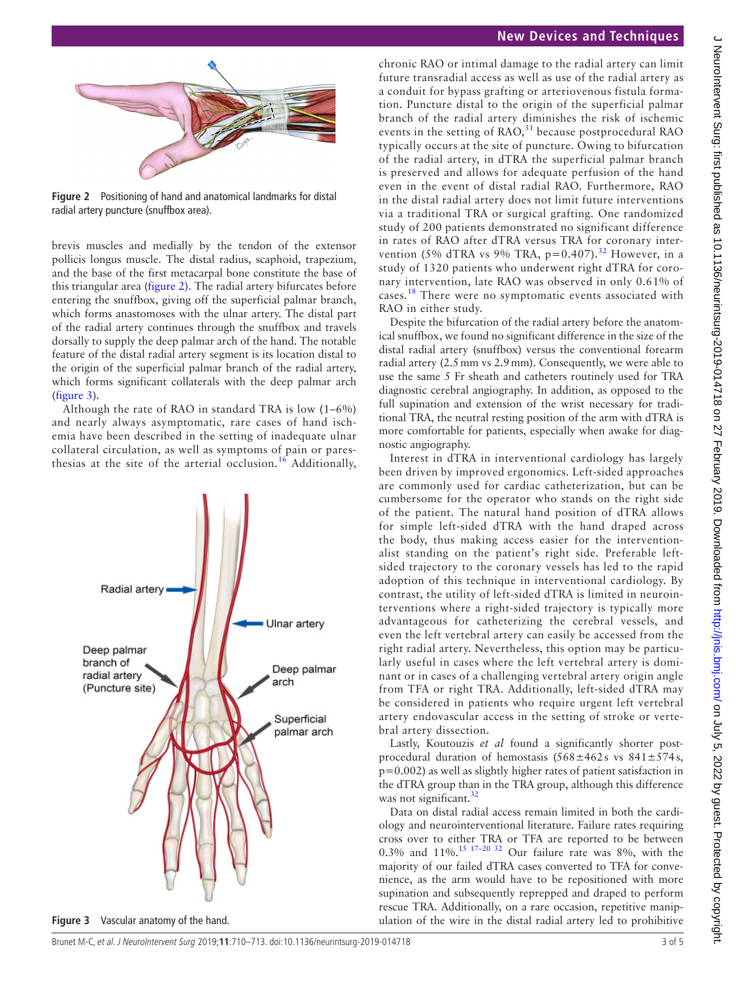

**Figure 2** Positioning of hand and anatomical landmarks for distal radial artery puncture (snuffbox area).

<span id="page-2-0"></span>brevis muscles and medially by the tendon of the extensor pollicis longus muscle. The distal radius, scaphoid, trapezium, and the base of the first metacarpal bone constitute the base of this triangular area ([figure](#page-2-0) 2). The radial artery bifurcates before entering the snuffbox, giving off the superficial palmar branch, which forms anastomoses with the ulnar artery. The distal part of the radial artery continues through the snuffbox and travels dorsally to supply the deep palmar arch of the hand. The notable feature of the distal radial artery segment is its location distal to the origin of the superficial palmar branch of the radial artery, which forms significant collaterals with the deep palmar arch ([figure](#page-2-1) 3).

Although the rate of RAO in standard TRA is low (1–6%) and nearly always asymptomatic, rare cases of hand ischemia have been described in the setting of inadequate ulnar collateral circulation, as well as symptoms of pain or pares-thesias at the site of the arterial occlusion.<sup>[16](#page-3-4)</sup> Additionally,



#### <span id="page-2-1"></span>**Figure 3** Vascular anatomy of the hand.

#### **New Devices and Techniques**

chronic RAO or intimal damage to the radial artery can limit future transradial access as well as use of the radial artery as a conduit for bypass grafting or arteriovenous fistula formation. Puncture distal to the origin of the superficial palmar branch of the radial artery diminishes the risk of ischemic events in the setting of  $RAO<sub>31</sub><sup>31</sup>$  because postprocedural RAO typically occurs at the site of puncture. Owing to bifurcation of the radial artery, in dTRA the superficial palmar branch is preserved and allows for adequate perfusion of the hand even in the event of distal radial RAO. Furthermore, RAO in the distal radial artery does not limit future interventions via a traditional TRA or surgical grafting. One randomized study of 200 patients demonstrated no significant difference in rates of RAO after dTRA versus TRA for coronary intervention (5% dTRA vs 9% TRA,  $p=0.407$ ).<sup>[32](#page-4-4)</sup> However, in a study of 1320 patients who underwent right dTRA for coronary intervention, late RAO was observed in only 0.61% of cases.<sup>[18](#page-3-8)</sup> There were no symptomatic events associated with RAO in either study.

Despite the bifurcation of the radial artery before the anatomical snuffbox, we found no significant difference in the size of the distal radial artery (snuffbox) versus the conventional forearm radial artery (2.5mm vs 2.9mm). Consequently, we were able to use the same 5 Fr sheath and catheters routinely used for TRA diagnostic cerebral angiography. In addition, as opposed to the full supination and extension of the wrist necessary for traditional TRA, the neutral resting position of the arm with dTRA is more comfortable for patients, especially when awake for diagnostic angiography.

Interest in dTRA in interventional cardiology has largely been driven by improved ergonomics. Left-sided approaches are commonly used for cardiac catheterization, but can be cumbersome for the operator who stands on the right side of the patient. The natural hand position of dTRA allows for simple left-sided dTRA with the hand draped across the body, thus making access easier for the interventionalist standing on the patient's right side. Preferable leftsided trajectory to the coronary vessels has led to the rapid adoption of this technique in interventional cardiology. By contrast, the utility of left-sided dTRA is limited in neurointerventions where a right-sided trajectory is typically more advantageous for catheterizing the cerebral vessels, and even the left vertebral artery can easily be accessed from the right radial artery. Nevertheless, this option may be particularly useful in cases where the left vertebral artery is dominant or in cases of a challenging vertebral artery origin angle from TFA or right TRA. Additionally, left-sided dTRA may be considered in patients who require urgent left vertebral artery endovascular access in the setting of stroke or vertebral artery dissection.

Lastly, Koutouzis *et al* found a significantly shorter postprocedural duration of hemostasis  $(568 \pm 462 s \text{ vs } 841 \pm 574 s,$ p=0.002) as well as slightly higher rates of patient satisfaction in the dTRA group than in the TRA group, although this difference was not significant. $32$ 

Data on distal radial access remain limited in both the cardiology and neurointerventional literature. Failure rates requiring cross over to either TRA or TFA are reported to be between 0.3% and 11%.<sup>15 17-20 32</sup> Our failure rate was 8%, with the majority of our failed dTRA cases converted to TFA for convenience, as the arm would have to be repositioned with more supination and subsequently reprepped and draped to perform rescue TRA. Additionally, on a rare occasion, repetitive manipulation of the wire in the distal radial artery led to prohibitive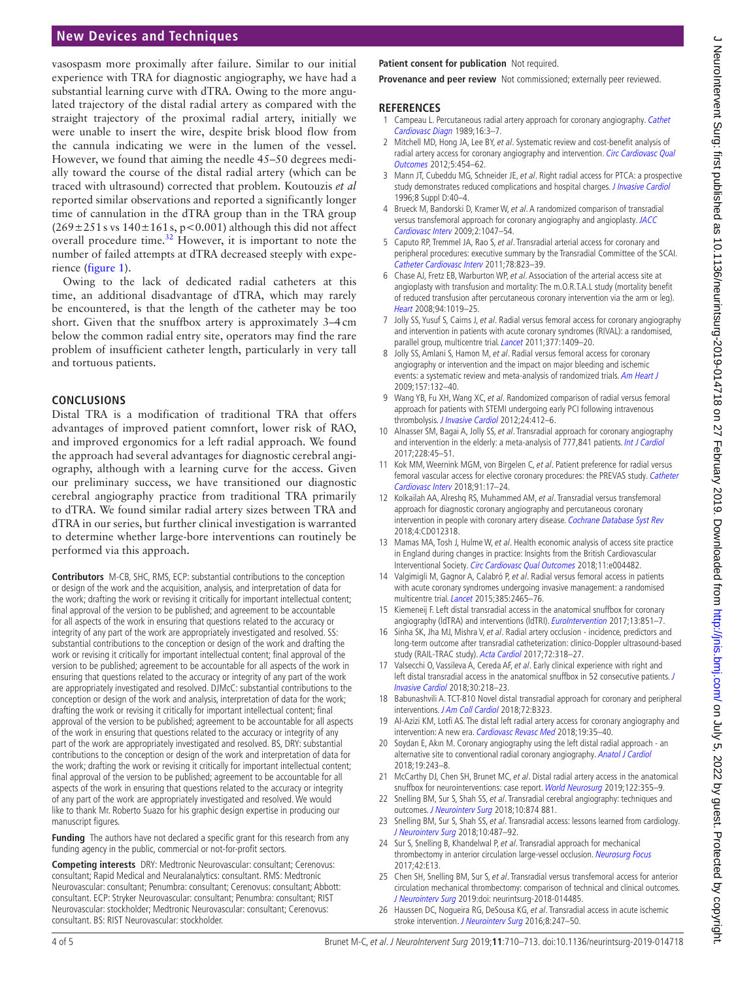# **New Devices and Techniques**

vasospasm more proximally after failure. Similar to our initial experience with TRA for diagnostic angiography, we have had a substantial learning curve with dTRA. Owing to the more angulated trajectory of the distal radial artery as compared with the straight trajectory of the proximal radial artery, initially we were unable to insert the wire, despite brisk blood flow from the cannula indicating we were in the lumen of the vessel. However, we found that aiming the needle 45–50 degrees medially toward the course of the distal radial artery (which can be traced with ultrasound) corrected that problem. Koutouzis *et al* reported similar observations and reported a significantly longer time of cannulation in the dTRA group than in the TRA group  $(269 \pm 251 s \text{ vs } 140 \pm 161 s, p < 0.001)$  although this did not affect overall procedure time.<sup>[32](#page-4-4)</sup> However, it is important to note the number of failed attempts at dTRA decreased steeply with experience ([figure](#page-1-0) 1).

Owing to the lack of dedicated radial catheters at this time, an additional disadvantage of dTRA, which may rarely be encountered, is that the length of the catheter may be too short. Given that the snuffbox artery is approximately 3–4cm below the common radial entry site, operators may find the rare problem of insufficient catheter length, particularly in very tall and tortuous patients.

# **Conclusions**

Distal TRA is a modification of traditional TRA that offers advantages of improved patient comnfort, lower risk of RAO, and improved ergonomics for a left radial approach. We found the approach had several advantages for diagnostic cerebral angiography, although with a learning curve for the access. Given our preliminary success, we have transitioned our diagnostic cerebral angiography practice from traditional TRA primarily to dTRA. We found similar radial artery sizes between TRA and dTRA in our series, but further clinical investigation is warranted to determine whether large-bore interventions can routinely be performed via this approach.

**Contributors** M-CB, SHC, RMS, ECP: substantial contributions to the conception or design of the work and the acquisition, analysis, and interpretation of data for the work; drafting the work or revising it critically for important intellectual content; final approval of the version to be published; and agreement to be accountable for all aspects of the work in ensuring that questions related to the accuracy or integrity of any part of the work are appropriately investigated and resolved. SS: substantial contributions to the conception or design of the work and drafting the work or revising it critically for important intellectual content; final approval of the version to be published; agreement to be accountable for all aspects of the work in ensuring that questions related to the accuracy or integrity of any part of the work are appropriately investigated and resolved. DJMcC: substantial contributions to the conception or design of the work and analysis, interpretation of data for the work; drafting the work or revising it critically for important intellectual content; final approval of the version to be published; agreement to be accountable for all aspects of the work in ensuring that questions related to the accuracy or integrity of any part of the work are appropriately investigated and resolved. BS, DRY: substantial contributions to the conception or design of the work and interpretation of data for the work; drafting the work or revising it critically for important intellectual content; final approval of the version to be published; agreement to be accountable for all aspects of the work in ensuring that questions related to the accuracy or integrity of any part of the work are appropriately investigated and resolved. We would like to thank Mr. Roberto Suazo for his graphic design expertise in producing our manuscript figures.

**Funding** The authors have not declared a specific grant for this research from any funding agency in the public, commercial or not-for-profit sectors.

**Competing interests** DRY: Medtronic Neurovascular: consultant; Cerenovus: consultant; Rapid Medical and Neuralanalytics: consultant. RMS: Medtronic Neurovascular: consultant; Penumbra: consultant; Cerenovus: consultant; Abbott: consultant. ECP: Stryker Neurovascular: consultant; Penumbra: consultant; RIST Neurovascular: stockholder; Medtronic Neurovascular: consultant; Cerenovus: consultant. BS: RIST Neurovascular: stockholder.

**Patient consent for publication** Not required.

**Provenance and peer review** Not commissioned: externally peer reviewed.

#### **References**

- <span id="page-3-0"></span>1 Campeau L. Percutaneous radial artery approach for coronary angiography. Cathet [Cardiovasc Diagn](http://dx.doi.org/10.1002/ccd.1810160103) 1989;16:3–7.
- <span id="page-3-1"></span>2 Mitchell MD, Hong JA, Lee BY, et al. Systematic review and cost-benefit analysis of radial artery access for coronary angiography and intervention. Circ Cardiovasc Qual [Outcomes](http://dx.doi.org/10.1161/CIRCOUTCOMES.112.965269) 2012;5:454–62.
- 3 Mann JT, Cubeddu MG, Schneider JE, et al. Right radial access for PTCA: a prospective study demonstrates reduced complications and hospital charges. [J Invasive Cardiol](http://www.ncbi.nlm.nih.gov/pubmed/10785786) 1996;8 Suppl D:40–4.
- 4 Brueck M, Bandorski D, Kramer W, et al. A randomized comparison of transradial versus transfemoral approach for coronary angiography and angioplasty. [JACC](http://dx.doi.org/10.1016/j.jcin.2009.07.016)  [Cardiovasc Interv](http://dx.doi.org/10.1016/j.jcin.2009.07.016) 2009;2:1047–54.
- 5 Caputo RP, Tremmel JA, Rao S, et al. Transradial arterial access for coronary and peripheral procedures: executive summary by the Transradial Committee of the SCAI. [Catheter Cardiovasc Interv](http://dx.doi.org/10.1002/ccd.23052) 2011;78:823–39.
- 6 Chase AJ, Fretz EB, Warburton WP, et al. Association of the arterial access site at angioplasty with transfusion and mortality: The m.O.R.T.A.L study (mortality benefit of reduced transfusion after percutaneous coronary intervention via the arm or leg). [Heart](http://dx.doi.org/10.1136/hrt.2007.136390) 2008;94:1019–25.
- 7 Jolly SS, Yusuf S, Cairns J, et al. Radial versus femoral access for coronary angiography and intervention in patients with acute coronary syndromes (RIVAL): a randomised, parallel group, multicentre trial. *[Lancet](http://dx.doi.org/10.1016/S0140-6736(11)60404-2)* 2011;377:1409-20.
- 8 Jolly SS, Amlani S, Hamon M, et al. Radial versus femoral access for coronary angiography or intervention and the impact on major bleeding and ischemic events: a systematic review and meta-analysis of randomized trials. [Am Heart J](http://dx.doi.org/10.1016/j.ahj.2008.08.023) 2009;157:132–40.
- 9 Wang YB, Fu XH, Wang XC, et al. Randomized comparison of radial versus femoral approach for patients with STEMI undergoing early PCI following intravenous thrombolysis. *[J Invasive Cardiol](http://www.ncbi.nlm.nih.gov/pubmed/22865313)* 2012;24:412-6.
- 10 Alnasser SM, Bagai A, Jolly SS, et al. Transradial approach for coronary angiography and intervention in the elderly: a meta-analysis of 777,841 patients. [Int J Cardiol](http://dx.doi.org/10.1016/j.ijcard.2016.11.207) 2017;228:45–51.
- 11 Kok MM, Weernink MGM, von Birgelen C, et al. Patient preference for radial versus femoral vascular access for elective coronary procedures: the PREVAS study. [Catheter](http://dx.doi.org/10.1002/ccd.27039)  [Cardiovasc Interv](http://dx.doi.org/10.1002/ccd.27039) 2018;91:17–24.
- 12 Kolkailah AA, Alreshq RS, Muhammed AM, et al. Transradial versus transfemoral approach for diagnostic coronary angiography and percutaneous coronary intervention in people with coronary artery disease. [Cochrane Database Syst Rev](http://dx.doi.org/10.1002/14651858.CD012318.pub2) 2018;4:CD012318.
- 13 Mamas MA, Tosh J, Hulme W, et al. Health economic analysis of access site practice in England during changes in practice: Insights from the British Cardiovascular Interventional Society. [Circ Cardiovasc Qual Outcomes](http://dx.doi.org/10.1161/CIRCOUTCOMES.117.004482) 2018;11:e004482.
- <span id="page-3-2"></span>14 Valgimigli M, Gagnor A, Calabró P, et al. Radial versus femoral access in patients with acute coronary syndromes undergoing invasive management: a randomised multicentre trial. [Lancet](http://dx.doi.org/10.1016/S0140-6736(15)60292-6) 2015;385:2465–76.
- <span id="page-3-3"></span>15 Kiemeneij F. Left distal transradial access in the anatomical snuffbox for coronary angiography (IdTRA) and interventions (IdTRI). *[EuroIntervention](http://dx.doi.org/10.4244/EIJ-D-17-00079)* 2017;13:851-7.
- <span id="page-3-4"></span>16 Sinha SK, Jha MJ, Mishra V, et al. Radial artery occlusion - incidence, predictors and long-term outcome after transradial catheterization: clinico-Doppler ultrasound-based study (RAIL-TRAC study). [Acta Cardiol](http://dx.doi.org/10.1080/00015385.2017.1305158) 2017;72:318-27.
- <span id="page-3-5"></span>17 Valsecchi O, Vassileva A, Cereda AF, et al. Early clinical experience with right and left distal transradial access in the anatomical snuffbox in 52 consecutive patients. J [Invasive Cardiol](http://www.ncbi.nlm.nih.gov/pubmed/29543187) 2018;30:218–23.
- <span id="page-3-8"></span>18 Babunashvili A. TCT-810 Novel distal transradial approach for coronary and peripheral interventions. [J Am Coll Cardiol](http://dx.doi.org/10.1016/j.jacc.2018.08.2046) 2018;72:B323.
- 19 Al-Azizi KM, Lotfi AS. The distal left radial artery access for coronary angiography and intervention: A new era. [Cardiovasc Revasc Med](http://dx.doi.org/10.1016/j.carrev.2018.03.020) 2018;19:35-40.
- 20 Soydan E, Akın M. Coronary angiography using the left distal radial approach an alternative site to conventional radial coronary angiography. [Anatol J Cardiol](http://dx.doi.org/10.14744/AnatolJCardiol.2018.59932) 2018;19:243–8.
- <span id="page-3-6"></span>21 McCarthy DJ, Chen SH, Brunet MC, et al. Distal radial artery access in the anatomical snuffbox for neurointerventions: case report. [World Neurosurg](http://dx.doi.org/10.1016/j.wneu.2018.11.030) 2019;122:355-9.
- <span id="page-3-7"></span>22 Snelling BM, Sur S, Shah SS, et al. Transradial cerebral angiography: techniques and outcomes. [J Neurointerv Surg](http://dx.doi.org/10.1136/neurintsurg-2017-013584) 2018;10:874 881.
- 23 Snelling BM, Sur S, Shah SS, et al. Transradial access: lessons learned from cardiology. [J Neurointerv Surg](http://dx.doi.org/10.1136/neurintsurg-2017-013295) 2018;10:487–92.
- 24 Sur S, Snelling B, Khandelwal P, et al. Transradial approach for mechanical thrombectomy in anterior circulation large-vessel occlusion. [Neurosurg Focus](http://dx.doi.org/10.3171/2017.1.FOCUS16525) 2017;42:E13.
- 25 Chen SH, Snelling BM, Sur S, et al. Transradial versus transfemoral access for anterior circulation mechanical thrombectomy: comparison of technical and clinical outcomes. [J Neurointerv Surg](http://dx.doi.org/10.1136/neurintsurg-2018-014485) 2019:doi: neurintsurg-2018-014485.
- 26 Haussen DC, Nogueira RG, DeSousa KG, et al. Transradial access in acute ischemic stroke intervention. [J Neurointerv Surg](http://dx.doi.org/10.1136/neurintsurg-2014-011519) 2016;8:247-50.